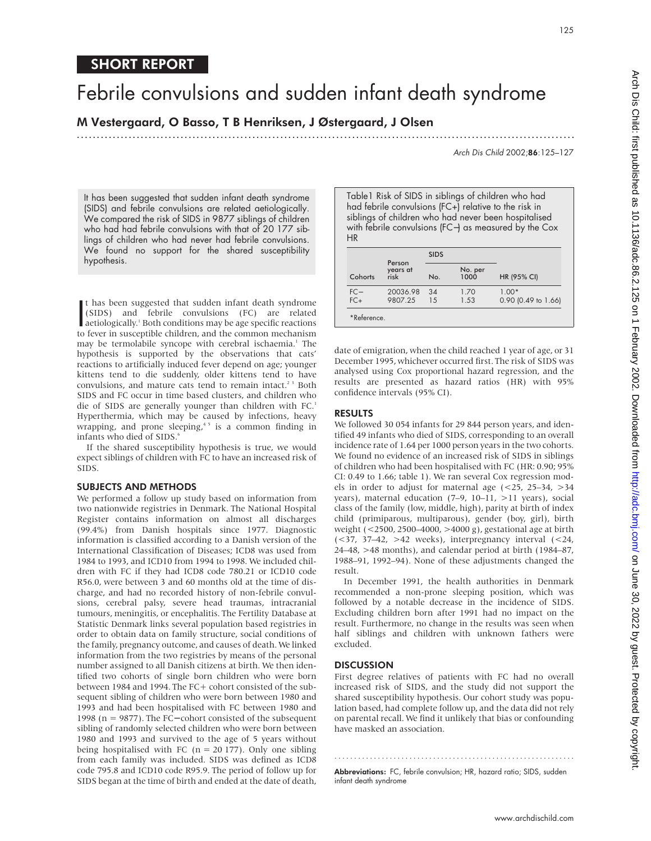## SHORT REPORT

# Febrile convulsions and sudden infant death syndrome

### M Vestergaard, O Basso, T B Henriksen, J Østergaard, J Olsen

.............................................................................................................................

Arch Dis Child 2002;86:125–127

It has been suggested that sudden infant death syndrome (SIDS) and febrile convulsions are related aetiologically. We compared the risk of SIDS in 9877 siblings of children who had had febrile convulsions with that of 20 177 siblings of children who had never had febrile convulsions. We found no support for the shared susceptibility hypothesis.

It has been suggested that sudden infant death syndrome<br>
(SIDS) and febrile convulsions (FC) are related<br>
aetiologically.<sup>1</sup> Both conditions may be age specific reactions<br>
to fever in susceptible children and the common me t has been suggested that sudden infant death syndrome (SIDS) and febrile convulsions (FC) are related to fever in susceptible children, and the common mechanism may be termolabile syncope with cerebral ischaemia.<sup>1</sup> The hypothesis is supported by the observations that cats' reactions to artificially induced fever depend on age; younger kittens tend to die suddenly, older kittens tend to have convulsions, and mature cats tend to remain intact.<sup>23</sup> Both SIDS and FC occur in time based clusters, and children who die of SIDS are generally younger than children with FC.<sup>1</sup> Hyperthermia, which may be caused by infections, heavy wrapping, and prone sleeping, $45$  is a common finding in infants who died of SIDS.<sup>6</sup>

If the shared susceptibility hypothesis is true, we would expect siblings of children with FC to have an increased risk of SIDS.

#### SUBJECTS AND METHODS

We performed a follow up study based on information from two nationwide registries in Denmark. The National Hospital Register contains information on almost all discharges (99.4%) from Danish hospitals since 1977. Diagnostic information is classified according to a Danish version of the International Classification of Diseases; ICD8 was used from 1984 to 1993, and ICD10 from 1994 to 1998. We included children with FC if they had ICD8 code 780.21 or ICD10 code R56.0, were between 3 and 60 months old at the time of discharge, and had no recorded history of non-febrile convulsions, cerebral palsy, severe head traumas, intracranial tumours, meningitis, or encephalitis. The Fertility Database at Statistic Denmark links several population based registries in order to obtain data on family structure, social conditions of the family, pregnancy outcome, and causes of death. We linked information from the two registries by means of the personal number assigned to all Danish citizens at birth. We then identified two cohorts of single born children who were born between 1984 and 1994. The FC+ cohort consisted of the subsequent sibling of children who were born between 1980 and 1993 and had been hospitalised with FC between 1980 and 1998 (n = 9877). The FC− cohort consisted of the subsequent sibling of randomly selected children who were born between 1980 and 1993 and survived to the age of 5 years without being hospitalised with FC ( $n = 20$  177). Only one sibling from each family was included. SIDS was defined as ICD8 code 795.8 and ICD10 code R95.9. The period of follow up for SIDS began at the time of birth and ended at the date of death,

Table1 Risk of SIDS in siblings of children who had had febrile convulsions (FC+) relative to the risk in siblings of children who had never been hospitalised with febrile convulsions (FC−) as measured by the Cox HR

| Cohorts     |                            | <b>SIDS</b> |                 |                     |
|-------------|----------------------------|-------------|-----------------|---------------------|
|             | Person<br>years at<br>risk | No.         | No. per<br>1000 | HR (95% CI)         |
| $FC-$       | 20036.98                   | 34          | 1.70            | $1.00*$             |
| $FC+$       | 9807.25                    | 1.5         | 1.53            | 0.90 (0.49 to 1.66) |
| *Reference. |                            |             |                 |                     |

date of emigration, when the child reached 1 year of age, or 31 December 1995, whichever occurred first. The risk of SIDS was analysed using Cox proportional hazard regression, and the results are presented as hazard ratios (HR) with 95% confidence intervals (95% CI).

#### RESULTS

We followed 30 054 infants for 29 844 person years, and identified 49 infants who died of SIDS, corresponding to an overall incidence rate of 1.64 per 1000 person years in the two cohorts. We found no evidence of an increased risk of SIDS in siblings of children who had been hospitalised with FC (HR: 0.90; 95% CI: 0.49 to 1.66; table 1). We ran several Cox regression models in order to adjust for maternal age (<25, 25–34, >34 years), maternal education (7–9, 10–11, >11 years), social class of the family (low, middle, high), parity at birth of index child (primiparous, multiparous), gender (boy, girl), birth weight (<2500, 2500–4000, >4000 g), gestational age at birth  $(<$ 37, 37–42, >42 weeks), interpregnancy interval  $(<$ 24, 24–48, >48 months), and calendar period at birth (1984–87, 1988–91, 1992–94). None of these adjustments changed the result.

In December 1991, the health authorities in Denmark recommended a non-prone sleeping position, which was followed by a notable decrease in the incidence of SIDS. Excluding children born after 1991 had no impact on the result. Furthermore, no change in the results was seen when half siblings and children with unknown fathers were excluded.

#### **DISCUSSION**

First degree relatives of patients with FC had no overall increased risk of SIDS, and the study did not support the shared susceptibility hypothesis. Our cohort study was population based, had complete follow up, and the data did not rely on parental recall. We find it unlikely that bias or confounding have masked an association.

Abbreviations: FC, febrile convulsion; HR, hazard ratio; SIDS, sudden infant death syndrome

.............................................................